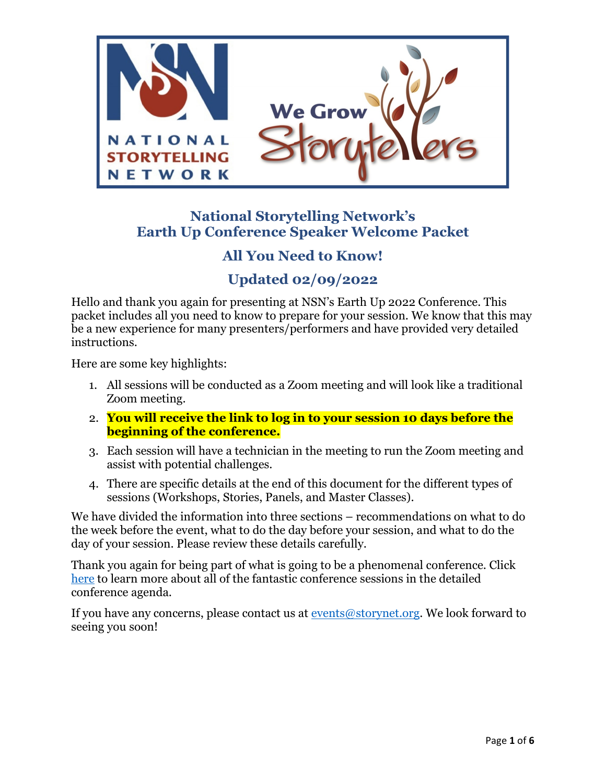

# **National Storytelling Network's Earth Up Conference Speaker Welcome Packet**

# **All You Need to Know!**

# **Updated 02/09/2022**

Hello and thank you again for presenting at NSN's Earth Up 2022 Conference. This packet includes all you need to know to prepare for your session. We know that this may be a new experience for many presenters/performers and have provided very detailed instructions.

Here are some key highlights:

- 1. All sessions will be conducted as a Zoom meeting and will look like a traditional Zoom meeting.
- 2. **You will receive the link to log in to your session 10 days before the beginning of the conference.**
- 3. Each session will have a technician in the meeting to run the Zoom meeting and assist with potential challenges.
- 4. There are specific details at the end of this document for the different types of sessions (Workshops, Stories, Panels, and Master Classes).

We have divided the information into three sections – recommendations on what to do the week before the event, what to do the day before your session, and what to do the day of your session. Please review these details carefully.

Thank you again for being part of what is going to be a phenomenal conference. Click [here](https://storynet.org/earth-up/) to learn more about all of the fantastic conference sessions in the detailed conference agenda.

If you have any concerns, please contact us at  $\frac{\text{events@storynet.org}}{\text{events@storynet.org}}$ . We look forward to seeing you soon!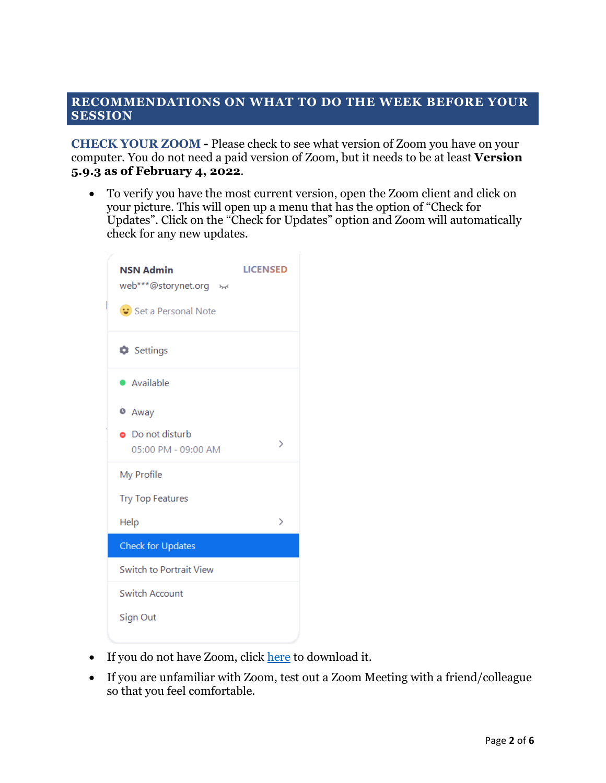#### **RECOMMENDATIONS ON WHAT TO DO THE WEEK BEFORE YOUR SESSION**

**CHECK YOUR ZOOM -** Please check to see what version of Zoom you have on your computer. You do not need a paid version of Zoom, but it needs to be at least **Version 5.9.3 as of February 4, 2022**.

• To verify you have the most current version, open the Zoom client and click on your picture. This will open up a menu that has the option of "Check for Updates". Click on the "Check for Updates" option and Zoom will automatically check for any new updates.



- If you do not have Zoom, click [here](https://zoom.us/download) to download it.
- If you are unfamiliar with Zoom, test out a Zoom Meeting with a friend/colleague so that you feel comfortable.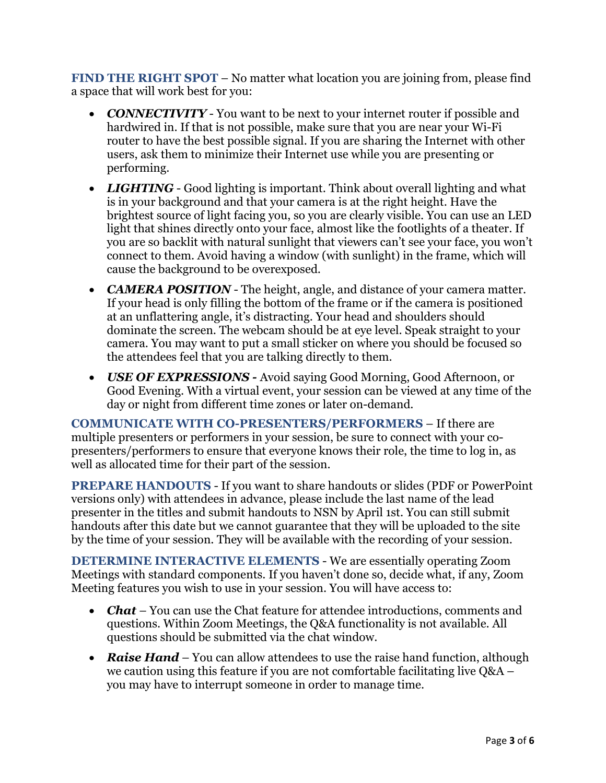**FIND THE RIGHT SPOT** – No matter what location you are joining from, please find a space that will work best for you:

- *CONNECTIVITY* You want to be next to your internet router if possible and hardwired in. If that is not possible, make sure that you are near your Wi-Fi router to have the best possible signal. If you are sharing the Internet with other users, ask them to minimize their Internet use while you are presenting or performing.
- *LIGHTING* Good lighting is important. Think about overall lighting and what is in your background and that your camera is at the right height. Have the brightest source of light facing you, so you are clearly visible. You can use an LED light that shines directly onto your face, almost like the footlights of a theater. If you are so backlit with natural sunlight that viewers can't see your face, you won't connect to them. Avoid having a window (with sunlight) in the frame, which will cause the background to be overexposed.
- *CAMERA POSITION* The height, angle, and distance of your camera matter. If your head is only filling the bottom of the frame or if the camera is positioned at an unflattering angle, it's distracting. Your head and shoulders should dominate the screen. The webcam should be at eye level. Speak straight to your camera. You may want to put a small sticker on where you should be focused so the attendees feel that you are talking directly to them.
- *USE OF EXPRESSIONS* Avoid saying Good Morning, Good Afternoon, or Good Evening. With a virtual event, your session can be viewed at any time of the day or night from different time zones or later on-demand.

**COMMUNICATE WITH CO-PRESENTERS/PERFORMERS** – If there are multiple presenters or performers in your session, be sure to connect with your copresenters/performers to ensure that everyone knows their role, the time to log in, as well as allocated time for their part of the session.

**PREPARE HANDOUTS** - If you want to share handouts or slides (PDF or PowerPoint versions only) with attendees in advance, please include the last name of the lead presenter in the titles and submit handouts to NSN by April 1st. You can still submit handouts after this date but we cannot guarantee that they will be uploaded to the site by the time of your session. They will be available with the recording of your session.

**DETERMINE INTERACTIVE ELEMENTS** - We are essentially operating Zoom Meetings with standard components. If you haven't done so, decide what, if any, Zoom Meeting features you wish to use in your session. You will have access to:

- *Chat* You can use the Chat feature for attendee introductions, comments and questions. Within Zoom Meetings, the Q&A functionality is not available. All questions should be submitted via the chat window.
- *Raise Hand* You can allow attendees to use the raise hand function, although we caution using this feature if you are not comfortable facilitating live Q&A – you may have to interrupt someone in order to manage time.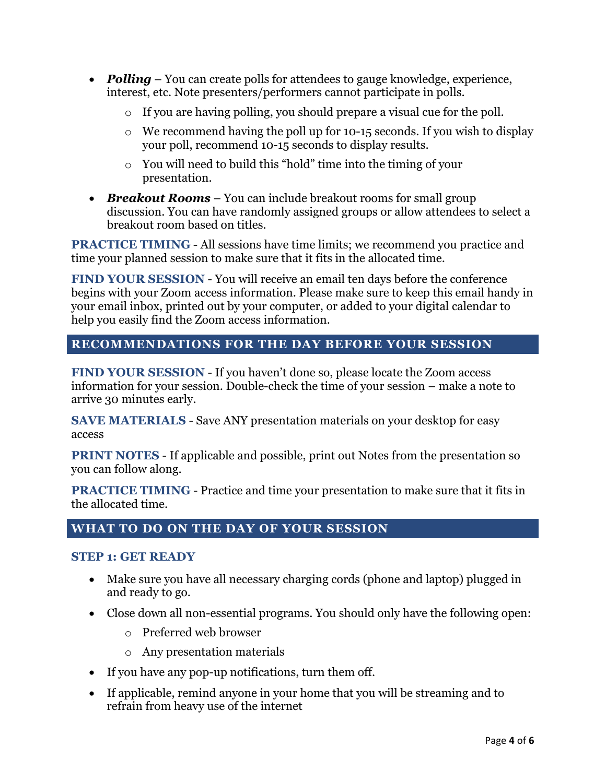- **Polling** You can create polls for attendees to gauge knowledge, experience, interest, etc. Note presenters/performers cannot participate in polls.
	- o If you are having polling, you should prepare a visual cue for the poll.
	- o We recommend having the poll up for 10-15 seconds. If you wish to display your poll, recommend 10-15 seconds to display results.
	- o You will need to build this "hold" time into the timing of your presentation.
- *Breakout Rooms* You can include breakout rooms for small group discussion. You can have randomly assigned groups or allow attendees to select a breakout room based on titles.

**PRACTICE TIMING** - All sessions have time limits; we recommend you practice and time your planned session to make sure that it fits in the allocated time.

**FIND YOUR SESSION** - You will receive an email ten days before the conference begins with your Zoom access information. Please make sure to keep this email handy in your email inbox, printed out by your computer, or added to your digital calendar to help you easily find the Zoom access information.

# **RECOMMENDATIONS FOR THE DAY BEFORE YOUR SESSION**

**FIND YOUR SESSION** - If you haven't done so, please locate the Zoom access information for your session. Double-check the time of your session – make a note to arrive 30 minutes early.

**SAVE MATERIALS** - Save ANY presentation materials on your desktop for easy access

**PRINT NOTES** - If applicable and possible, print out Notes from the presentation so you can follow along.

**PRACTICE TIMING** - Practice and time your presentation to make sure that it fits in the allocated time.

# **WHAT TO DO ON THE DAY OF YOUR SESSION**

#### **STEP 1: GET READY**

- Make sure you have all necessary charging cords (phone and laptop) plugged in and ready to go.
- Close down all non-essential programs. You should only have the following open:
	- o Preferred web browser
	- o Any presentation materials
- If you have any pop-up notifications, turn them off.
- If applicable, remind anyone in your home that you will be streaming and to refrain from heavy use of the internet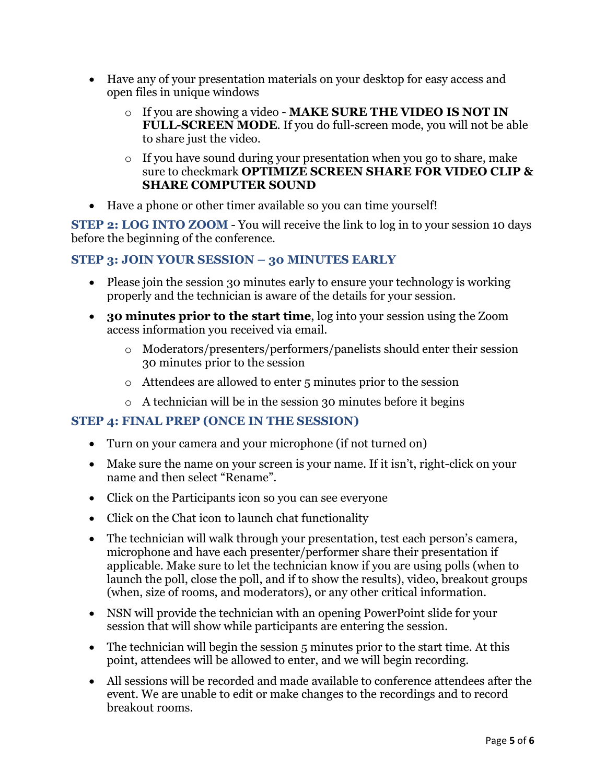- Have any of your presentation materials on your desktop for easy access and open files in unique windows
	- o If you are showing a video **MAKE SURE THE VIDEO IS NOT IN FULL-SCREEN MODE**. If you do full-screen mode, you will not be able to share just the video.
	- o If you have sound during your presentation when you go to share, make sure to checkmark **OPTIMIZE SCREEN SHARE FOR VIDEO CLIP & SHARE COMPUTER SOUND**
- Have a phone or other timer available so you can time yourself!

**STEP 2: LOG INTO ZOOM** - You will receive the link to log in to your session 10 days before the beginning of the conference.

# **STEP 3: JOIN YOUR SESSION – 30 MINUTES EARLY**

- Please join the session 30 minutes early to ensure your technology is working properly and the technician is aware of the details for your session.
- **30 minutes prior to the start time**, log into your session using the Zoom access information you received via email.
	- o Moderators/presenters/performers/panelists should enter their session 30 minutes prior to the session
	- o Attendees are allowed to enter 5 minutes prior to the session
	- o A technician will be in the session 30 minutes before it begins

# **STEP 4: FINAL PREP (ONCE IN THE SESSION)**

- Turn on your camera and your microphone (if not turned on)
- Make sure the name on your screen is your name. If it isn't, right-click on your name and then select "Rename".
- Click on the Participants icon so you can see everyone
- Click on the Chat icon to launch chat functionality
- The technician will walk through your presentation, test each person's camera, microphone and have each presenter/performer share their presentation if applicable. Make sure to let the technician know if you are using polls (when to launch the poll, close the poll, and if to show the results), video, breakout groups (when, size of rooms, and moderators), or any other critical information.
- NSN will provide the technician with an opening PowerPoint slide for your session that will show while participants are entering the session.
- The technician will begin the session 5 minutes prior to the start time. At this point, attendees will be allowed to enter, and we will begin recording.
- All sessions will be recorded and made available to conference attendees after the event. We are unable to edit or make changes to the recordings and to record breakout rooms.